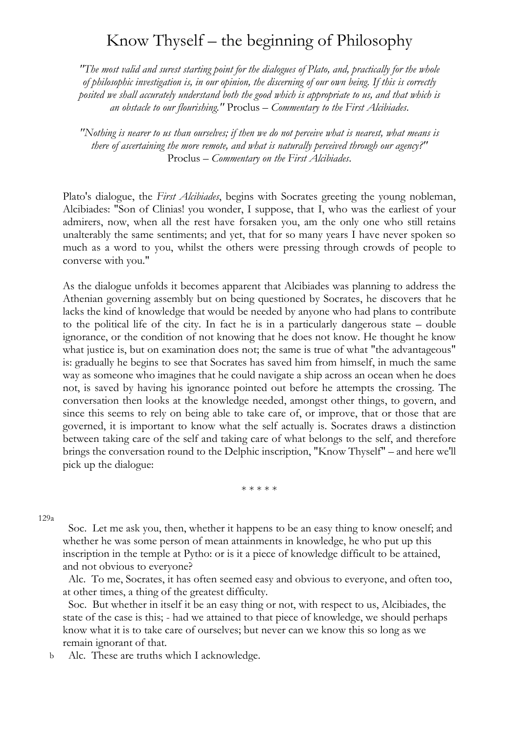## Know Thyself – the beginning of Philosophy

*"The most valid and surest starting point for the dialogues of Plato, and, practically for the whole of philosophic investigation is, in our opinion, the discerning of our own being. If this is correctly posited we shall accurately understand both the good which is appropriate to us, and that which is an obstacle to our flourishing."* Proclus – *Commentary to the First Alcibiades*.

*"Nothing is nearer to us than ourselves; if then we do not perceive what is nearest, what means is there of ascertaining the more remote, and what is naturally perceived through our agency?"* Proclus – *Commentary on the First Alcibiades*.

Plato's dialogue, the *First Alcibiades*, begins with Socrates greeting the young nobleman, Alcibiades: "Son of Clinias! you wonder, I suppose, that I, who was the earliest of your admirers, now, when all the rest have forsaken you, am the only one who still retains unalterably the same sentiments; and yet, that for so many years I have never spoken so much as a word to you, whilst the others were pressing through crowds of people to converse with you."

As the dialogue unfolds it becomes apparent that Alcibiades was planning to address the Athenian governing assembly but on being questioned by Socrates, he discovers that he lacks the kind of knowledge that would be needed by anyone who had plans to contribute to the political life of the city. In fact he is in a particularly dangerous state – double ignorance, or the condition of not knowing that he does not know. He thought he know what justice is, but on examination does not; the same is true of what "the advantageous" is: gradually he begins to see that Socrates has saved him from himself, in much the same way as someone who imagines that he could navigate a ship across an ocean when he does not, is saved by having his ignorance pointed out before he attempts the crossing. The conversation then looks at the knowledge needed, amongst other things, to govern, and since this seems to rely on being able to take care of, or improve, that or those that are governed, it is important to know what the self actually is. Socrates draws a distinction between taking care of the self and taking care of what belongs to the self, and therefore brings the conversation round to the Delphic inscription, "Know Thyself" – and here we'll pick up the dialogue:

\* \* \* \* \*

129a

 Soc. Let me ask you, then, whether it happens to be an easy thing to know oneself; and whether he was some person of mean attainments in knowledge, he who put up this inscription in the temple at Pytho: or is it a piece of knowledge difficult to be attained, and not obvious to everyone?

 Alc. To me, Socrates, it has often seemed easy and obvious to everyone, and often too, at other times, a thing of the greatest difficulty.

 Soc. But whether in itself it be an easy thing or not, with respect to us, Alcibiades, the state of the case is this; - had we attained to that piece of knowledge, we should perhaps know what it is to take care of ourselves; but never can we know this so long as we remain ignorant of that.

 Alc. These are truths which I acknowledge. b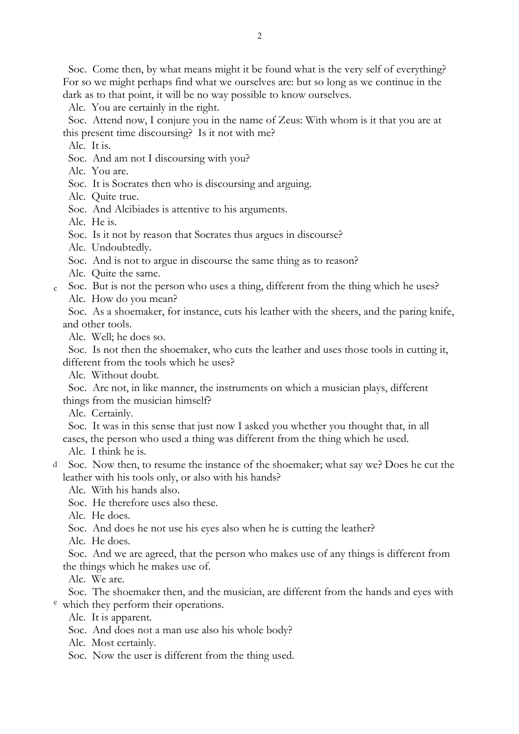Soc. Come then, by what means might it be found what is the very self of everything? For so we might perhaps find what we ourselves are: but so long as we continue in the dark as to that point, it will be no way possible to know ourselves.

Alc. You are certainly in the right.

 Soc. Attend now, I conjure you in the name of Zeus: With whom is it that you are at this present time discoursing? Is it not with me?

Alc. It is.

- Soc. And am not I discoursing with you?
- Alc. You are.
- Soc. It is Socrates then who is discoursing and arguing.

Alc. Quite true.

Soc. And Alcibiades is attentive to his arguments.

Alc. He is.

Soc. Is it not by reason that Socrates thus argues in discourse?

Alc. Undoubtedly.

Soc. And is not to argue in discourse the same thing as to reason?

- Alc. Quite the same.
- Soc. But is not the person who uses a thing, different from the thing which he uses? c
	- Alc. How do you mean?

 Soc. As a shoemaker, for instance, cuts his leather with the sheers, and the paring knife, and other tools.

Alc. Well; he does so.

 Soc. Is not then the shoemaker, who cuts the leather and uses those tools in cutting it, different from the tools which he uses?

Alc. Without doubt.

 Soc. Are not, in like manner, the instruments on which a musician plays, different things from the musician himself?

Alc. Certainly.

Soc. It was in this sense that just now I asked you whether you thought that, in all

cases, the person who used a thing was different from the thing which he used.

Alc. I think he is.

 Soc. Now then, to resume the instance of the shoemaker; what say we? Does he cut the d leather with his tools only, or also with his hands?

Alc. With his hands also.

Soc. He therefore uses also these.

Alc. He does.

Soc. And does he not use his eyes also when he is cutting the leather?

Alc. He does.

 Soc. And we are agreed, that the person who makes use of any things is different from the things which he makes use of.

Alc. We are.

 Soc. The shoemaker then, and the musician, are different from the hands and eyes with <sup>e</sup> which they perform their operations.

Alc. It is apparent.

Soc. And does not a man use also his whole body?

Alc. Most certainly.

Soc. Now the user is different from the thing used.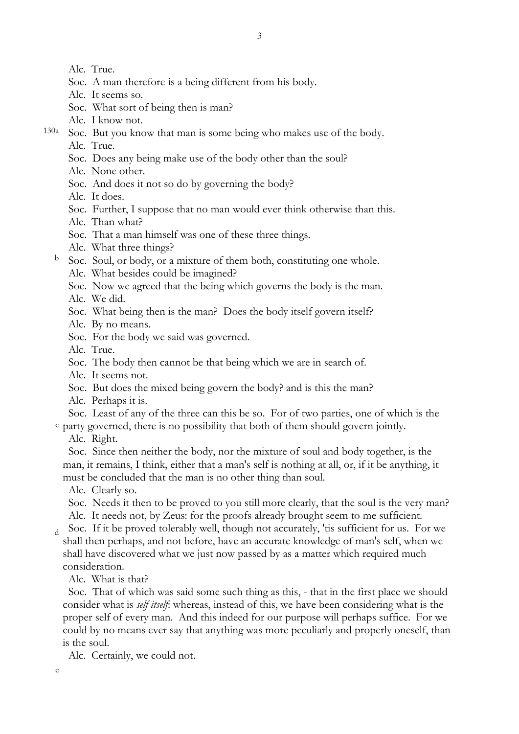3

Alc. True.

- Soc. A man therefore is a being different from his body.
- Alc. It seems so.
- Soc. What sort of being then is man?
- Alc. I know not.
- Soc. But you know that man is some being who makes use of the body. 130a
	- Alc. True.
	- Soc. Does any being make use of the body other than the soul?
	- Alc. None other.
	- Soc. And does it not so do by governing the body?
	- Alc. It does.
	- Soc. Further, I suppose that no man would ever think otherwise than this.
	- Alc. Than what?
	- Soc. That a man himself was one of these three things.
	- Alc. What three things?
	- Soc. Soul, or body, or a mixture of them both, constituting one whole. b
		- Alc. What besides could be imagined?
		- Soc. Now we agreed that the being which governs the body is the man.
		- Alc. We did.
		- Soc. What being then is the man? Does the body itself govern itself?
		- Alc. By no means.
		- Soc. For the body we said was governed.
		- Alc. True.
		- Soc. The body then cannot be that being which we are in search of.
		- Alc. It seems not.
		- Soc. But does the mixed being govern the body? and is this the man?
		- Alc. Perhaps it is.

Soc. Least of any of the three can this be so. For of two parties, one of which is the

- party governed, there is no possibility that both of them should govern jointly. c
	- Alc. Right.

 Soc. Since then neither the body, nor the mixture of soul and body together, is the man, it remains, I think, either that a man's self is nothing at all, or, if it be anything, it must be concluded that the man is no other thing than soul.

Alc. Clearly so.

 Soc. Needs it then to be proved to you still more clearly, that the soul is the very man? Alc. It needs not, by Zeus: for the proofs already brought seem to me sufficient.

 Soc. If it be proved tolerably well, though not accurately, 'tis sufficient for us. For we shall then perhaps, and not before, have an accurate knowledge of man's self, when we shall have discovered what we just now passed by as a matter which required much consideration. d

Alc. What is that?

 Soc. That of which was said some such thing as this, - that in the first place we should consider what is *self itself*: whereas, instead of this, we have been considering what is the proper self of every man. And this indeed for our purpose will perhaps suffice. For we could by no means ever say that anything was more peculiarly and properly oneself, than is the soul.

Alc. Certainly, we could not.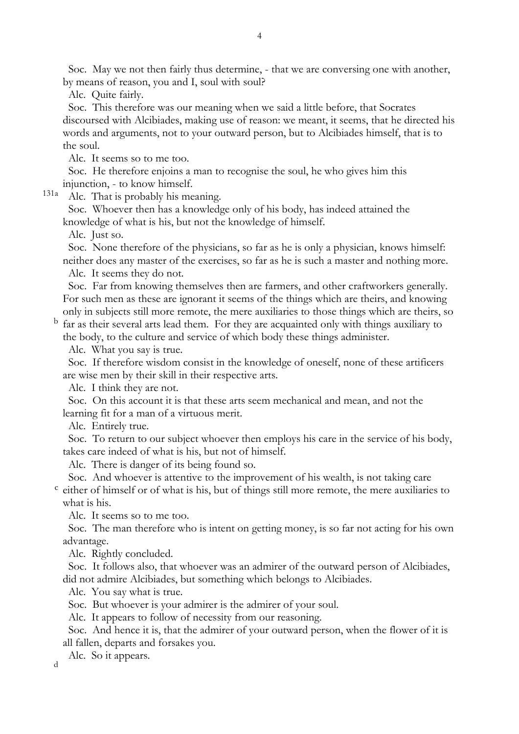Soc. May we not then fairly thus determine, - that we are conversing one with another, by means of reason, you and I, soul with soul?

Alc. Quite fairly.

 Soc. This therefore was our meaning when we said a little before, that Socrates discoursed with Alcibiades, making use of reason: we meant, it seems, that he directed his words and arguments, not to your outward person, but to Alcibiades himself, that is to the soul.

Alc. It seems so to me too.

 Soc. He therefore enjoins a man to recognise the soul, he who gives him this injunction, - to know himself.

 Alc. That is probably his meaning. 131a

> Soc. Whoever then has a knowledge only of his body, has indeed attained the knowledge of what is his, but not the knowledge of himself.

Alc. Just so.

 Soc. None therefore of the physicians, so far as he is only a physician, knows himself: neither does any master of the exercises, so far as he is such a master and nothing more. Alc. It seems they do not.

 Soc. Far from knowing themselves then are farmers, and other craftworkers generally. For such men as these are ignorant it seems of the things which are theirs, and knowing only in subjects still more remote, the mere auxiliaries to those things which are theirs, so

 $<sup>b</sup>$  far as their several arts lead them. For they are acquainted only with things auxiliary to</sup> the body, to the culture and service of which body these things administer.

Alc. What you say is true.

 Soc. If therefore wisdom consist in the knowledge of oneself, none of these artificers are wise men by their skill in their respective arts.

Alc. I think they are not.

 Soc. On this account it is that these arts seem mechanical and mean, and not the learning fit for a man of a virtuous merit.

Alc. Entirely true.

 Soc. To return to our subject whoever then employs his care in the service of his body, takes care indeed of what is his, but not of himself.

Alc. There is danger of its being found so.

Soc. And whoever is attentive to the improvement of his wealth, is not taking care

c either of himself or of what is his, but of things still more remote, the mere auxiliaries to what is his.

Alc. It seems so to me too.

 Soc. The man therefore who is intent on getting money, is so far not acting for his own advantage.

Alc. Rightly concluded.

 Soc. It follows also, that whoever was an admirer of the outward person of Alcibiades, did not admire Alcibiades, but something which belongs to Alcibiades.

Alc. You say what is true.

Soc. But whoever is your admirer is the admirer of your soul.

Alc. It appears to follow of necessity from our reasoning.

 Soc. And hence it is, that the admirer of your outward person, when the flower of it is all fallen, departs and forsakes you.

 Alc. So it appears. d